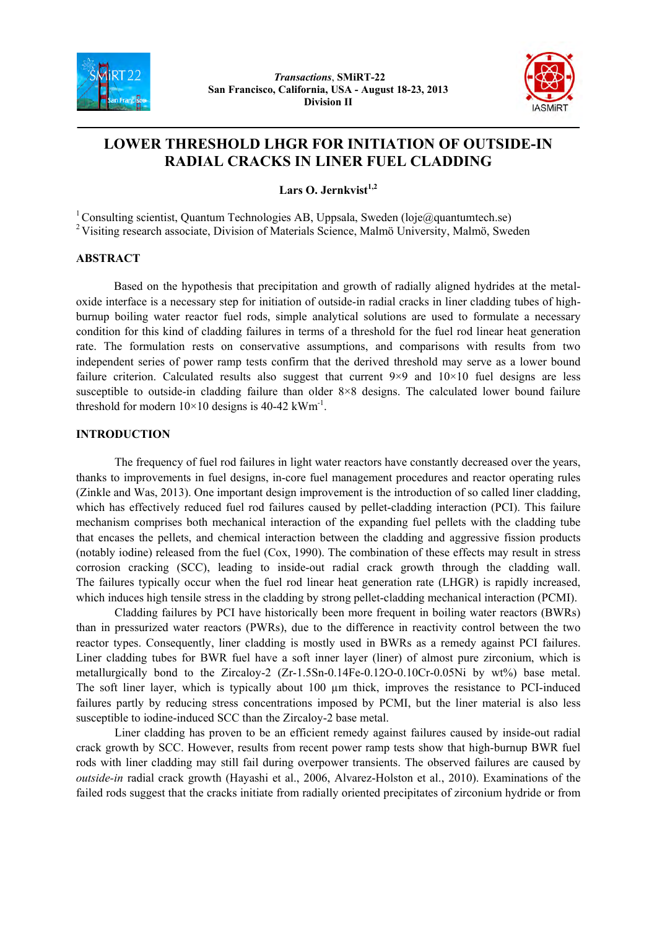



# **LOWER THRESHOLD LHGR FOR INITIATION OF OUTSIDE-IN RADIAL CRACKS IN LINER FUEL CLADDING**

**Lars O. Jernkvist1,2** 

<sup>1</sup> Consulting scientist, Quantum Technologies AB, Uppsala, Sweden (loje@quantumtech.se) <sup>2</sup> Visiting research associate, Division of Materials Science, Malmö University, Malmö, Sweden

## **ABSTRACT**

Based on the hypothesis that precipitation and growth of radially aligned hydrides at the metaloxide interface is a necessary step for initiation of outside-in radial cracks in liner cladding tubes of highburnup boiling water reactor fuel rods, simple analytical solutions are used to formulate a necessary condition for this kind of cladding failures in terms of a threshold for the fuel rod linear heat generation rate. The formulation rests on conservative assumptions, and comparisons with results from two independent series of power ramp tests confirm that the derived threshold may serve as a lower bound failure criterion. Calculated results also suggest that current  $9\times9$  and  $10\times10$  fuel designs are less susceptible to outside-in cladding failure than older 8×8 designs. The calculated lower bound failure threshold for modern  $10\times10$  designs is 40-42 kWm<sup>-1</sup>.

## **INTRODUCTION**

The frequency of fuel rod failures in light water reactors have constantly decreased over the years, thanks to improvements in fuel designs, in-core fuel management procedures and reactor operating rules (Zinkle and Was, 2013). One important design improvement is the introduction of so called liner cladding, which has effectively reduced fuel rod failures caused by pellet-cladding interaction (PCI). This failure mechanism comprises both mechanical interaction of the expanding fuel pellets with the cladding tube that encases the pellets, and chemical interaction between the cladding and aggressive fission products (notably iodine) released from the fuel (Cox, 1990). The combination of these effects may result in stress corrosion cracking (SCC), leading to inside-out radial crack growth through the cladding wall. The failures typically occur when the fuel rod linear heat generation rate (LHGR) is rapidly increased, which induces high tensile stress in the cladding by strong pellet-cladding mechanical interaction (PCMI).

Cladding failures by PCI have historically been more frequent in boiling water reactors (BWRs) than in pressurized water reactors (PWRs), due to the difference in reactivity control between the two reactor types. Consequently, liner cladding is mostly used in BWRs as a remedy against PCI failures. Liner cladding tubes for BWR fuel have a soft inner layer (liner) of almost pure zirconium, which is metallurgically bond to the Zircaloy-2 (Zr-1.5Sn-0.14Fe-0.12O-0.10Cr-0.05Ni by wt%) base metal. The soft liner layer, which is typically about 100  $\mu$ m thick, improves the resistance to PCI-induced failures partly by reducing stress concentrations imposed by PCMI, but the liner material is also less susceptible to iodine-induced SCC than the Zircaloy-2 base metal.

Liner cladding has proven to be an efficient remedy against failures caused by inside-out radial crack growth by SCC. However, results from recent power ramp tests show that high-burnup BWR fuel rods with liner cladding may still fail during overpower transients. The observed failures are caused by *outside-in* radial crack growth (Hayashi et al., 2006, Alvarez-Holston et al., 2010). Examinations of the failed rods suggest that the cracks initiate from radially oriented precipitates of zirconium hydride or from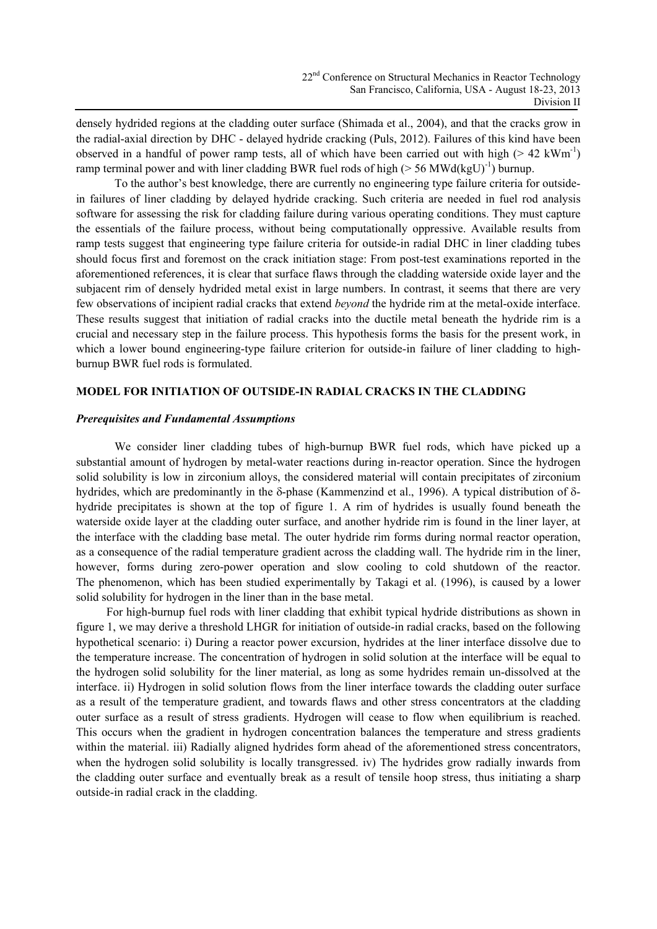densely hydrided regions at the cladding outer surface (Shimada et al., 2004), and that the cracks grow in the radial-axial direction by DHC - delayed hydride cracking (Puls, 2012). Failures of this kind have been observed in a handful of power ramp tests, all of which have been carried out with high ( $> 42 \text{ kWm}^{-1}$ ) ramp terminal power and with liner cladding BWR fuel rods of high ( $> 56$  MWd(kgU)<sup>-1</sup>) burnup.

To the author's best knowledge, there are currently no engineering type failure criteria for outsidein failures of liner cladding by delayed hydride cracking. Such criteria are needed in fuel rod analysis software for assessing the risk for cladding failure during various operating conditions. They must capture the essentials of the failure process, without being computationally oppressive. Available results from ramp tests suggest that engineering type failure criteria for outside-in radial DHC in liner cladding tubes should focus first and foremost on the crack initiation stage: From post-test examinations reported in the aforementioned references, it is clear that surface flaws through the cladding waterside oxide layer and the subjacent rim of densely hydrided metal exist in large numbers. In contrast, it seems that there are very few observations of incipient radial cracks that extend *beyond* the hydride rim at the metal-oxide interface. These results suggest that initiation of radial cracks into the ductile metal beneath the hydride rim is a crucial and necessary step in the failure process. This hypothesis forms the basis for the present work, in which a lower bound engineering-type failure criterion for outside-in failure of liner cladding to highburnup BWR fuel rods is formulated.

## **MODEL FOR INITIATION OF OUTSIDE-IN RADIAL CRACKS IN THE CLADDING**

### *Prerequisites and Fundamental Assumptions*

We consider liner cladding tubes of high-burnup BWR fuel rods, which have picked up a substantial amount of hydrogen by metal-water reactions during in-reactor operation. Since the hydrogen solid solubility is low in zirconium alloys, the considered material will contain precipitates of zirconium hydrides, which are predominantly in the δ-phase (Kammenzind et al., 1996). A typical distribution of δhydride precipitates is shown at the top of figure 1. A rim of hydrides is usually found beneath the waterside oxide layer at the cladding outer surface, and another hydride rim is found in the liner layer, at the interface with the cladding base metal. The outer hydride rim forms during normal reactor operation, as a consequence of the radial temperature gradient across the cladding wall. The hydride rim in the liner, however, forms during zero-power operation and slow cooling to cold shutdown of the reactor. The phenomenon, which has been studied experimentally by Takagi et al. (1996), is caused by a lower solid solubility for hydrogen in the liner than in the base metal.

For high-burnup fuel rods with liner cladding that exhibit typical hydride distributions as shown in figure 1, we may derive a threshold LHGR for initiation of outside-in radial cracks, based on the following hypothetical scenario: i) During a reactor power excursion, hydrides at the liner interface dissolve due to the temperature increase. The concentration of hydrogen in solid solution at the interface will be equal to the hydrogen solid solubility for the liner material, as long as some hydrides remain un-dissolved at the interface. ii) Hydrogen in solid solution flows from the liner interface towards the cladding outer surface as a result of the temperature gradient, and towards flaws and other stress concentrators at the cladding outer surface as a result of stress gradients. Hydrogen will cease to flow when equilibrium is reached. This occurs when the gradient in hydrogen concentration balances the temperature and stress gradients within the material. iii) Radially aligned hydrides form ahead of the aforementioned stress concentrators, when the hydrogen solid solubility is locally transgressed. iv) The hydrides grow radially inwards from the cladding outer surface and eventually break as a result of tensile hoop stress, thus initiating a sharp outside-in radial crack in the cladding.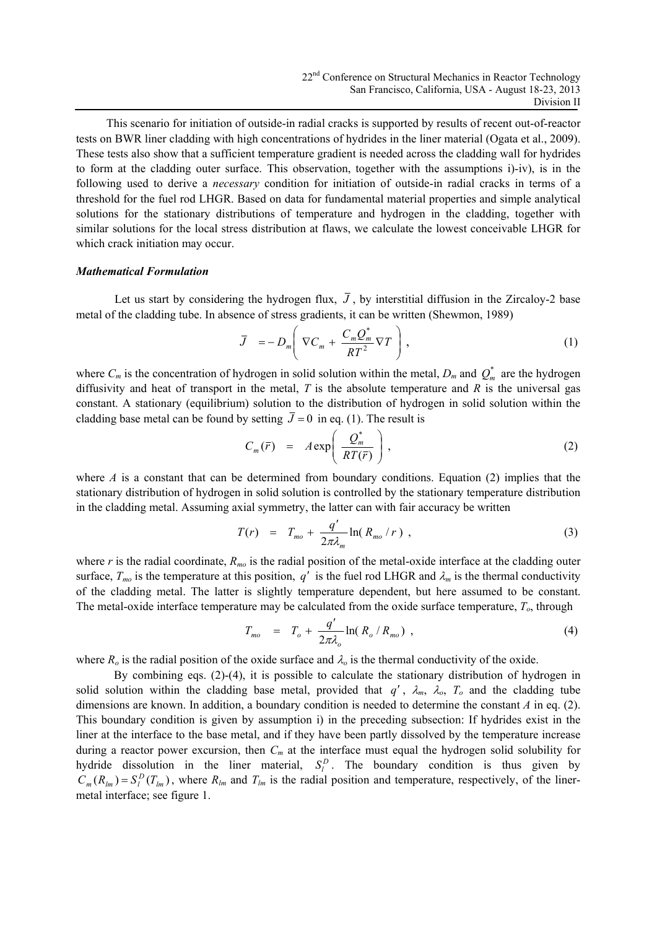This scenario for initiation of outside-in radial cracks is supported by results of recent out-of-reactor tests on BWR liner cladding with high concentrations of hydrides in the liner material (Ogata et al., 2009). These tests also show that a sufficient temperature gradient is needed across the cladding wall for hydrides to form at the cladding outer surface. This observation, together with the assumptions i)-iv), is in the following used to derive a *necessary* condition for initiation of outside-in radial cracks in terms of a threshold for the fuel rod LHGR. Based on data for fundamental material properties and simple analytical solutions for the stationary distributions of temperature and hydrogen in the cladding, together with similar solutions for the local stress distribution at flaws, we calculate the lowest conceivable LHGR for which crack initiation may occur.

#### *Mathematical Formulation*

Let us start by considering the hydrogen flux,  $\bar{J}$ , by interstitial diffusion in the Zircaloy-2 base metal of the cladding tube. In absence of stress gradients, it can be written (Shewmon, 1989)

$$
\bar{J} = -D_m \left( \nabla C_m + \frac{C_m Q_m^*}{RT^2} \nabla T \right), \qquad (1)
$$

where  $C_m$  is the concentration of hydrogen in solid solution within the metal,  $D_m$  and  $Q_m^*$  are the hydrogen diffusivity and heat of transport in the metal, *T* is the absolute temperature and *R* is the universal gas constant. A stationary (equilibrium) solution to the distribution of hydrogen in solid solution within the cladding base metal can be found by setting  $\bar{J} = 0$  in eq. (1). The result is

$$
C_m(\bar{r}) = A \exp\left(\frac{Q_m^*}{RT(\bar{r})}\right),\tag{2}
$$

where *A* is a constant that can be determined from boundary conditions. Equation (2) implies that the stationary distribution of hydrogen in solid solution is controlled by the stationary temperature distribution in the cladding metal. Assuming axial symmetry, the latter can with fair accuracy be written

$$
T(r) = T_{mo} + \frac{q'}{2\pi\lambda_m} \ln(R_{mo}/r) , \qquad (3)
$$

where *r* is the radial coordinate,  $R_{mo}$  is the radial position of the metal-oxide interface at the cladding outer surface,  $T_{mo}$  is the temperature at this position,  $q'$  is the fuel rod LHGR and  $\lambda_m$  is the thermal conductivity of the cladding metal. The latter is slightly temperature dependent, but here assumed to be constant. The metal-oxide interface temperature may be calculated from the oxide surface temperature,  $T<sub>o</sub>$ , through

$$
T_{mo} = T_o + \frac{q'}{2\pi\lambda_o} \ln(R_o/R_{mo}), \qquad (4)
$$

where  $R_0$  is the radial position of the oxide surface and  $\lambda_0$  is the thermal conductivity of the oxide.

By combining eqs. (2)-(4), it is possible to calculate the stationary distribution of hydrogen in solid solution within the cladding base metal, provided that  $q'$ ,  $\lambda_m$ ,  $\lambda_o$ ,  $T_o$  and the cladding tube dimensions are known. In addition, a boundary condition is needed to determine the constant *A* in eq. (2). This boundary condition is given by assumption i) in the preceding subsection: If hydrides exist in the liner at the interface to the base metal, and if they have been partly dissolved by the temperature increase during a reactor power excursion, then  $C_m$  at the interface must equal the hydrogen solid solubility for hydride dissolution in the liner material,  $S_l^D$ . The boundary condition is thus given by  $C_m(R_{lm}) = S_l^D(T_{lm})$ , where  $R_{lm}$  and  $T_{lm}$  is the radial position and temperature, respectively, of the linermetal interface; see figure 1.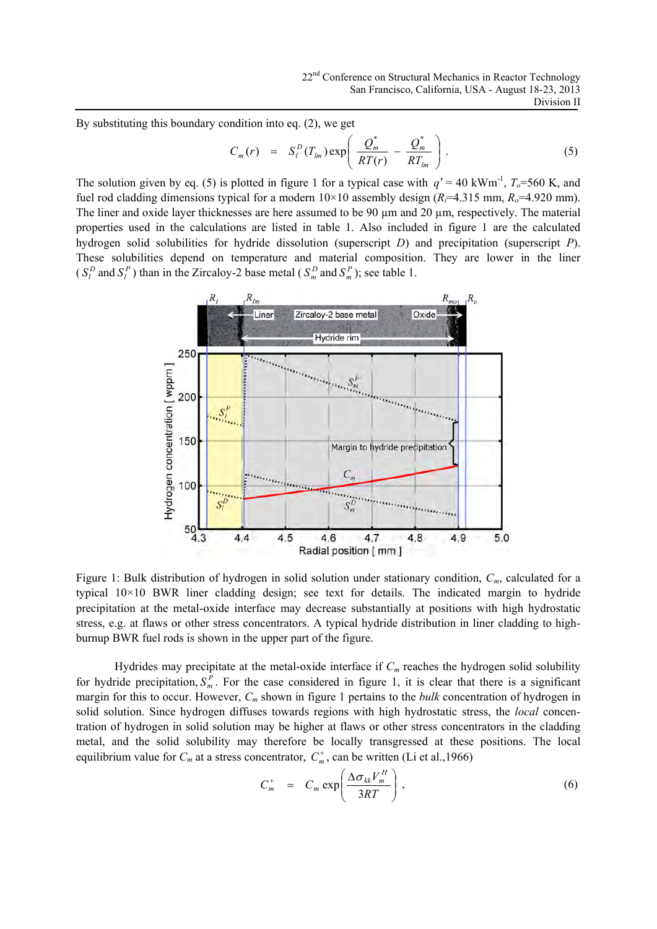By substituting this boundary condition into eq. (2), we get

$$
C_m(r) = S_l^D(T_{lm}) \exp\left(\frac{Q_m^*}{RT(r)} - \frac{Q_m^*}{RT_{lm}}\right). \tag{5}
$$

The solution given by eq. (5) is plotted in figure 1 for a typical case with  $q' = 40 \text{ kWm}^{-1}$ ,  $T_0 = 560 \text{ K}$ , and fuel rod cladding dimensions typical for a modern  $10\times10$  assembly design ( $R_i=4.315$  mm,  $R_o=4.920$  mm). The liner and oxide layer thicknesses are here assumed to be 90  $\mu$ m and 20  $\mu$ m, respectively. The material properties used in the calculations are listed in table 1. Also included in figure 1 are the calculated hydrogen solid solubilities for hydride dissolution (superscript *D*) and precipitation (superscript *P*). These solubilities depend on temperature and material composition. They are lower in the liner (  $S_l^D$  and  $S_l^P$ ) than in the Zircaloy-2 base metal (  $S_m^D$  and  $S_m^P$ ); see table 1.



Figure 1: Bulk distribution of hydrogen in solid solution under stationary condition,  $C_m$ , calculated for a typical 10×10 BWR liner cladding design; see text for details. The indicated margin to hydride precipitation at the metal-oxide interface may decrease substantially at positions with high hydrostatic stress, e.g. at flaws or other stress concentrators. A typical hydride distribution in liner cladding to highburnup BWR fuel rods is shown in the upper part of the figure.

Hydrides may precipitate at the metal-oxide interface if  $C_m$  reaches the hydrogen solid solubility for hydride precipitation,  $S_m^P$ . For the case considered in figure 1, it is clear that there is a significant margin for this to occur. However,  $C_m$  shown in figure 1 pertains to the *bulk* concentration of hydrogen in solid solution. Since hydrogen diffuses towards regions with high hydrostatic stress, the *local* concentration of hydrogen in solid solution may be higher at flaws or other stress concentrators in the cladding metal, and the solid solubility may therefore be locally transgressed at these positions. The local equilibrium value for  $C_m$  at a stress concentrator,  $C_m^+$ , can be written (Li et al., 1966)

$$
C_m^+ = C_m \exp\left(\frac{\Delta \sigma_{kk} V_m^H}{3RT}\right), \qquad (6)
$$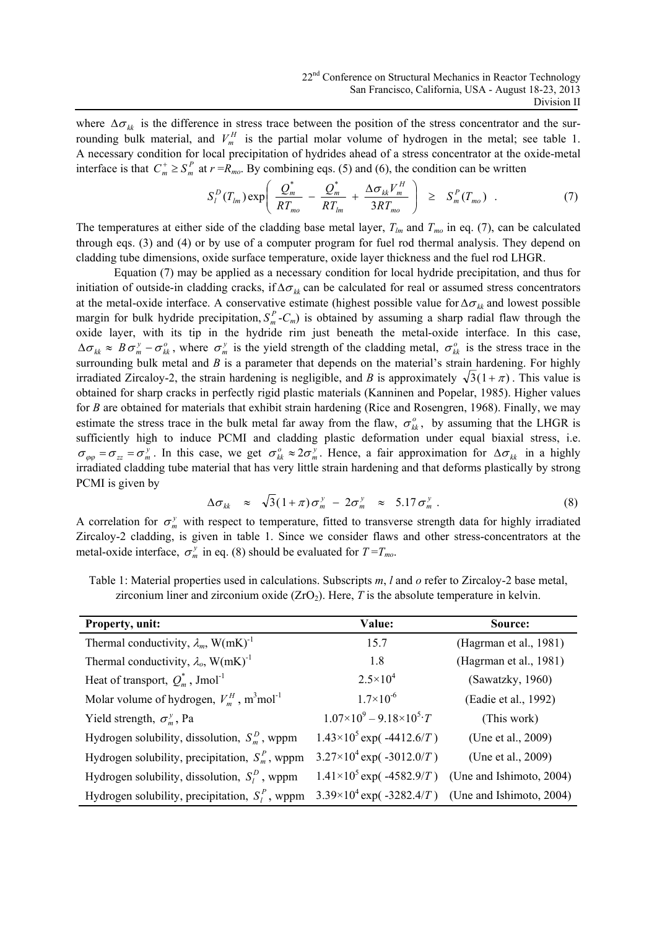where  $\Delta \sigma_{kk}$  is the difference in stress trace between the position of the stress concentrator and the surrounding bulk material, and  $V_m^H$  is the partial molar volume of hydrogen in the metal; see table 1. A necessary condition for local precipitation of hydrides ahead of a stress concentrator at the oxide-metal interface is that  $C_m^+ \geq S_m^P$  at  $r = R_{mo}$ . By combining eqs. (5) and (6), the condition can be written

$$
S_l^D(T_{lm}) \exp\left(\frac{Q_m^*}{RT_{mo}} - \frac{Q_m^*}{RT_{lm}} + \frac{\Delta \sigma_{kk} V_m^H}{3RT_{mo}}\right) \geq S_m^P(T_{mo}) \quad . \tag{7}
$$

The temperatures at either side of the cladding base metal layer,  $T_{lm}$  and  $T_{mo}$  in eq. (7), can be calculated through eqs. (3) and (4) or by use of a computer program for fuel rod thermal analysis. They depend on cladding tube dimensions, oxide surface temperature, oxide layer thickness and the fuel rod LHGR.

Equation (7) may be applied as a necessary condition for local hydride precipitation, and thus for initiation of outside-in cladding cracks, if  $\Delta \sigma_{kk}$  can be calculated for real or assumed stress concentrators at the metal-oxide interface. A conservative estimate (highest possible value for  $\Delta \sigma_{kk}$  and lowest possible margin for bulk hydride precipitation,  $S_m^P$ - $C_m$ ) is obtained by assuming a sharp radial flaw through the oxide layer, with its tip in the hydride rim just beneath the metal-oxide interface. In this case,  $\Delta \sigma_{kk} \approx B \sigma_{m}^{y} - \sigma_{kk}^{o}$ , where  $\sigma_{m}^{y}$  is the yield strength of the cladding metal,  $\sigma_{kk}^{o}$  is the stress trace in the surrounding bulk metal and *B* is a parameter that depends on the material's strain hardening. For highly irradiated Zircaloy-2, the strain hardening is negligible, and *B* is approximately  $\sqrt{3}(1+\pi)$ . This value is obtained for sharp cracks in perfectly rigid plastic materials (Kanninen and Popelar, 1985). Higher values for *B* are obtained for materials that exhibit strain hardening (Rice and Rosengren, 1968). Finally, we may estimate the stress trace in the bulk metal far away from the flaw,  $\sigma_{kk}^o$ , by assuming that the LHGR is sufficiently high to induce PCMI and cladding plastic deformation under equal biaxial stress, i.e.  $\sigma_{\varphi\varphi} = \sigma_{zz} = \sigma_m^y$ . In this case, we get  $\sigma_{kk}^o \approx 2\sigma_m^y$ . Hence, a fair approximation for  $\Delta \sigma_{kk}$  in a highly irradiated cladding tube material that has very little strain hardening and that deforms plastically by strong PCMI is given by

$$
\Delta \sigma_{kk} \approx \sqrt{3} (1 + \pi) \sigma_m^y - 2 \sigma_m^y \approx 5.17 \sigma_m^y \ . \tag{8}
$$

A correlation for  $\sigma_m^y$  with respect to temperature, fitted to transverse strength data for highly irradiated Zircaloy-2 cladding, is given in table 1. Since we consider flaws and other stress-concentrators at the metal-oxide interface,  $\sigma_m^y$  in eq. (8) should be evaluated for  $T = T_{mo}$ .

| Table 1: Material properties used in calculations. Subscripts $m$ , l and o refer to Zircaloy-2 base metal, |
|-------------------------------------------------------------------------------------------------------------|
| zirconium liner and zirconium oxide $(ZrO2)$ . Here, T is the absolute temperature in kelvin.               |
|                                                                                                             |

| Property, unit:                                                      | Value:                                        | Source:                  |  |
|----------------------------------------------------------------------|-----------------------------------------------|--------------------------|--|
| Thermal conductivity, $\lambda_m$ , W(mK) <sup>-1</sup>              | 15.7                                          | (Hagrman et al., 1981)   |  |
| Thermal conductivity, $\lambda_o$ , W(mK) <sup>-1</sup>              | 1.8                                           | (Hagrman et al., 1981)   |  |
| Heat of transport, $Q_m^*$ , Jmol <sup>-1</sup>                      | $2.5 \times 10^{4}$                           | (Sawatzky, 1960)         |  |
| Molar volume of hydrogen, $V_m^H$ , m <sup>3</sup> mol <sup>-1</sup> | $1.7\times10^{-6}$                            | (Eadie et al., 1992)     |  |
| Yield strength, $\sigma_m^y$ , Pa                                    | $1.07\times10^{9} - 9.18\times10^{5} \cdot T$ | (This work)              |  |
| Hydrogen solubility, dissolution, $S_m^D$ , wppm                     | $1.43\times10^5$ exp( -4412.6/T)              | (Une et al., 2009)       |  |
| Hydrogen solubility, precipitation, $S_m^P$ , wppm                   | $3.27\times10^4$ exp( -3012.0/T)              | (Une et al., 2009)       |  |
| Hydrogen solubility, dissolution, $S_l^D$ , wppm                     | $1.41\times10^5$ exp( -4582.9/T)              | (Une and Ishimoto, 2004) |  |
| Hydrogen solubility, precipitation, $S_l^P$ , wppm                   | $3.39\times10^4$ exp( -3282.4/T)              | (Une and Ishimoto, 2004) |  |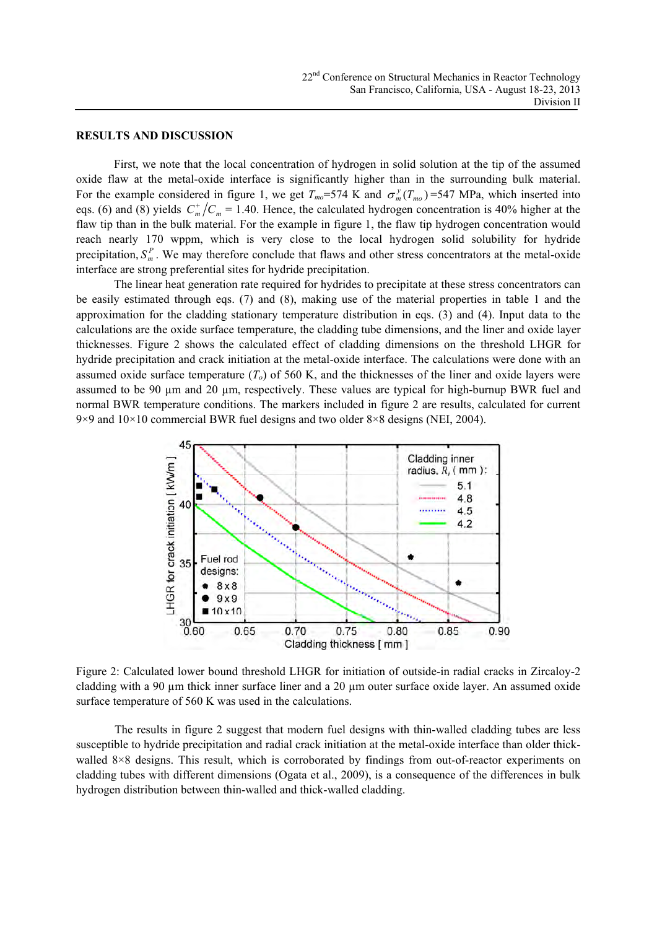#### **RESULTS AND DISCUSSION**

First, we note that the local concentration of hydrogen in solid solution at the tip of the assumed oxide flaw at the metal-oxide interface is significantly higher than in the surrounding bulk material. For the example considered in figure 1, we get  $T_{mo}$ =574 K and  $\sigma_m^y(T_{mo})$ =547 MPa, which inserted into eqs. (6) and (8) yields  $C_m^+/C_m = 1.40$ . Hence, the calculated hydrogen concentration is 40% higher at the flaw tip than in the bulk material. For the example in figure 1, the flaw tip hydrogen concentration would reach nearly 170 wppm, which is very close to the local hydrogen solid solubility for hydride precipitation,  $S_m^P$ . We may therefore conclude that flaws and other stress concentrators at the metal-oxide interface are strong preferential sites for hydride precipitation.

The linear heat generation rate required for hydrides to precipitate at these stress concentrators can be easily estimated through eqs. (7) and (8), making use of the material properties in table 1 and the approximation for the cladding stationary temperature distribution in eqs. (3) and (4). Input data to the calculations are the oxide surface temperature, the cladding tube dimensions, and the liner and oxide layer thicknesses. Figure 2 shows the calculated effect of cladding dimensions on the threshold LHGR for hydride precipitation and crack initiation at the metal-oxide interface. The calculations were done with an assumed oxide surface temperature  $(T<sub>o</sub>)$  of 560 K, and the thicknesses of the liner and oxide layers were assumed to be 90  $\mu$ m and 20  $\mu$ m, respectively. These values are typical for high-burnup BWR fuel and normal BWR temperature conditions. The markers included in figure 2 are results, calculated for current 9×9 and  $10\times10$  commercial BWR fuel designs and two older 8×8 designs (NEI, 2004).



Figure 2: Calculated lower bound threshold LHGR for initiation of outside-in radial cracks in Zircaloy-2 cladding with a 90  $\mu$ m thick inner surface liner and a 20  $\mu$ m outer surface oxide layer. An assumed oxide surface temperature of 560 K was used in the calculations.

The results in figure 2 suggest that modern fuel designs with thin-walled cladding tubes are less susceptible to hydride precipitation and radial crack initiation at the metal-oxide interface than older thickwalled 8×8 designs. This result, which is corroborated by findings from out-of-reactor experiments on cladding tubes with different dimensions (Ogata et al., 2009), is a consequence of the differences in bulk hydrogen distribution between thin-walled and thick-walled cladding.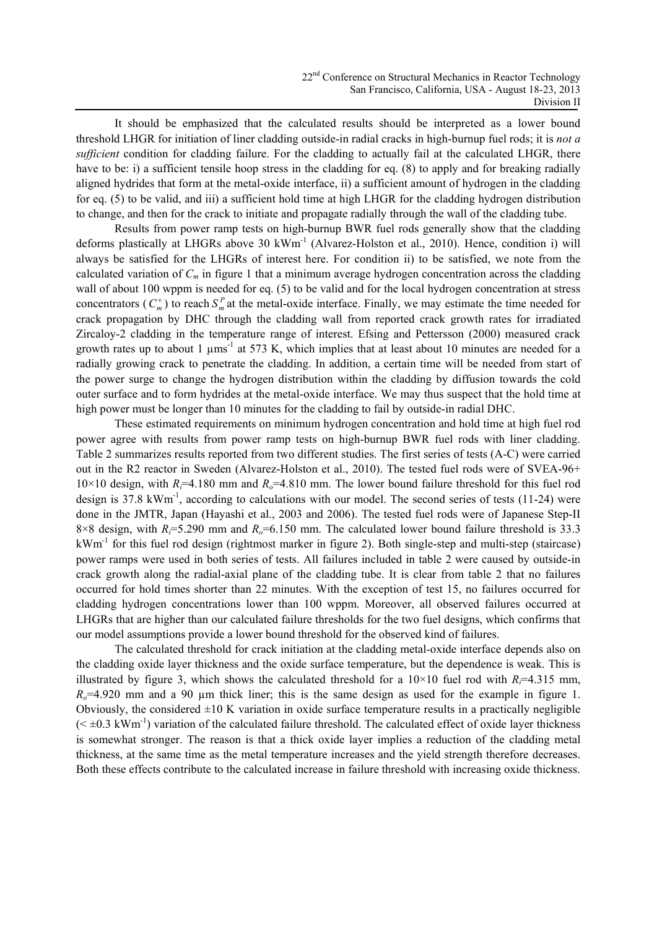It should be emphasized that the calculated results should be interpreted as a lower bound threshold LHGR for initiation of liner cladding outside-in radial cracks in high-burnup fuel rods; it is *not a sufficient* condition for cladding failure. For the cladding to actually fail at the calculated LHGR, there have to be: i) a sufficient tensile hoop stress in the cladding for eq. (8) to apply and for breaking radially aligned hydrides that form at the metal-oxide interface, ii) a sufficient amount of hydrogen in the cladding for eq. (5) to be valid, and iii) a sufficient hold time at high LHGR for the cladding hydrogen distribution to change, and then for the crack to initiate and propagate radially through the wall of the cladding tube.

Results from power ramp tests on high-burnup BWR fuel rods generally show that the cladding deforms plastically at LHGRs above 30 kWm<sup>-1</sup> (Alvarez-Holston et al., 2010). Hence, condition i) will always be satisfied for the LHGRs of interest here. For condition ii) to be satisfied, we note from the calculated variation of  $C_m$  in figure 1 that a minimum average hydrogen concentration across the cladding wall of about 100 wppm is needed for eq. (5) to be valid and for the local hydrogen concentration at stress concentrators  $(C_m^+)$  to reach  $S_m^P$  at the metal-oxide interface. Finally, we may estimate the time needed for crack propagation by DHC through the cladding wall from reported crack growth rates for irradiated Zircaloy-2 cladding in the temperature range of interest. Efsing and Pettersson (2000) measured crack growth rates up to about 1  $\mu$ ms<sup>-1</sup> at 573 K, which implies that at least about 10 minutes are needed for a radially growing crack to penetrate the cladding. In addition, a certain time will be needed from start of the power surge to change the hydrogen distribution within the cladding by diffusion towards the cold outer surface and to form hydrides at the metal-oxide interface. We may thus suspect that the hold time at high power must be longer than 10 minutes for the cladding to fail by outside-in radial DHC.

These estimated requirements on minimum hydrogen concentration and hold time at high fuel rod power agree with results from power ramp tests on high-burnup BWR fuel rods with liner cladding. Table 2 summarizes results reported from two different studies. The first series of tests (A-C) were carried out in the R2 reactor in Sweden (Alvarez-Holston et al., 2010). The tested fuel rods were of SVEA-96+ 10×10 design, with *Ri*=4.180 mm and *Ro*=4.810 mm. The lower bound failure threshold for this fuel rod design is 37.8 kWm<sup>-1</sup>, according to calculations with our model. The second series of tests (11-24) were done in the JMTR, Japan (Hayashi et al., 2003 and 2006). The tested fuel rods were of Japanese Step-II 8×8 design, with  $R=5.290$  mm and  $R<sub>o</sub>=6.150$  mm. The calculated lower bound failure threshold is 33.3 kWm-1 for this fuel rod design (rightmost marker in figure 2). Both single-step and multi-step (staircase) power ramps were used in both series of tests. All failures included in table 2 were caused by outside-in crack growth along the radial-axial plane of the cladding tube. It is clear from table 2 that no failures occurred for hold times shorter than 22 minutes. With the exception of test 15, no failures occurred for cladding hydrogen concentrations lower than 100 wppm. Moreover, all observed failures occurred at LHGRs that are higher than our calculated failure thresholds for the two fuel designs, which confirms that our model assumptions provide a lower bound threshold for the observed kind of failures.

The calculated threshold for crack initiation at the cladding metal-oxide interface depends also on the cladding oxide layer thickness and the oxide surface temperature, but the dependence is weak. This is illustrated by figure 3, which shows the calculated threshold for a  $10\times10$  fuel rod with *R*<sub>*i*</sub>=4.315 mm,  $R<sub>o</sub>=4.920$  mm and a 90 um thick liner; this is the same design as used for the example in figure 1. Obviously, the considered  $\pm 10$  K variation in oxide surface temperature results in a practically negligible  $( $\pm 0.3 \text{ kWh}^{-1}$ ) variation of the calculated failure threshold. The calculated effect of oxide layer thickness$ is somewhat stronger. The reason is that a thick oxide layer implies a reduction of the cladding metal thickness, at the same time as the metal temperature increases and the yield strength therefore decreases. Both these effects contribute to the calculated increase in failure threshold with increasing oxide thickness.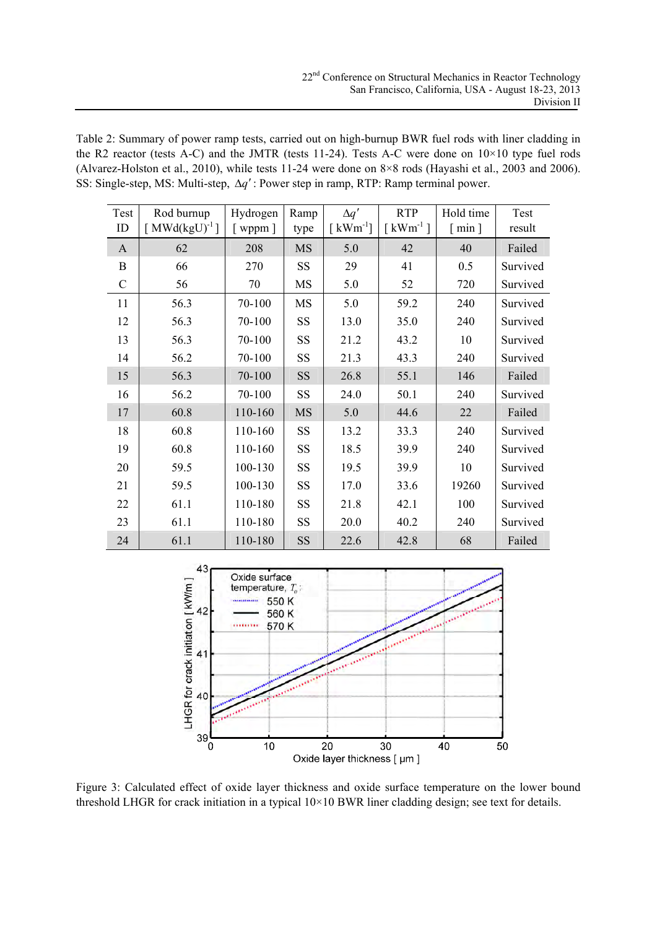Table 2: Summary of power ramp tests, carried out on high-burnup BWR fuel rods with liner cladding in the R2 reactor (tests A-C) and the JMTR (tests 11-24). Tests A-C were done on  $10\times10$  type fuel rods (Alvarez-Holston et al., 2010), while tests 11-24 were done on 8×8 rods (Hayashi et al., 2003 and 2006). SS: Single-step, MS: Multi-step, Δ*q*′ : Power step in ramp, RTP: Ramp terminal power.

| Test<br>ID   | Rod burnup<br>[MWd(kgU) <sup>-1</sup> ] | Hydrogen<br>$[$ wppm $]$ | Ramp<br>type | $\Delta q'$<br>$\lceil$ kWm <sup>-1</sup> ] | <b>RTP</b><br>$\left[\text{kWm}^{-1}\right]$ | Hold time<br>$\lceil \min \rceil$ | Test<br>result |
|--------------|-----------------------------------------|--------------------------|--------------|---------------------------------------------|----------------------------------------------|-----------------------------------|----------------|
| $\mathbf{A}$ | 62                                      | 208                      | <b>MS</b>    | 5.0                                         | 42                                           | 40                                | Failed         |
| $\mathbf B$  | 66                                      | 270                      | <b>SS</b>    | 29                                          | 41                                           | 0.5                               | Survived       |
| $\mathbf C$  | 56                                      | 70                       | <b>MS</b>    | 5.0                                         | 52                                           | 720                               | Survived       |
| 11           | 56.3                                    | 70-100                   | <b>MS</b>    | 5.0                                         | 59.2                                         | 240                               | Survived       |
| 12           | 56.3                                    | 70-100                   | <b>SS</b>    | 13.0                                        | 35.0                                         | 240                               | Survived       |
| 13           | 56.3                                    | 70-100                   | SS           | 21.2                                        | 43.2                                         | 10                                | Survived       |
| 14           | 56.2                                    | 70-100                   | SS           | 21.3                                        | 43.3                                         | 240                               | Survived       |
| 15           | 56.3                                    | 70-100                   | <b>SS</b>    | 26.8                                        | 55.1                                         | 146                               | Failed         |
| 16           | 56.2                                    | 70-100                   | <b>SS</b>    | 24.0                                        | 50.1                                         | 240                               | Survived       |
| 17           | 60.8                                    | 110-160                  | <b>MS</b>    | 5.0                                         | 44.6                                         | 22                                | Failed         |
| 18           | 60.8                                    | 110-160                  | <b>SS</b>    | 13.2                                        | 33.3                                         | 240                               | Survived       |
| 19           | 60.8                                    | 110-160                  | SS           | 18.5                                        | 39.9                                         | 240                               | Survived       |
| 20           | 59.5                                    | 100-130                  | <b>SS</b>    | 19.5                                        | 39.9                                         | 10                                | Survived       |
| 21           | 59.5                                    | 100-130                  | SS           | 17.0                                        | 33.6                                         | 19260                             | Survived       |
| 22           | 61.1                                    | 110-180                  | SS           | 21.8                                        | 42.1                                         | 100                               | Survived       |
| 23           | 61.1                                    | 110-180                  | <b>SS</b>    | 20.0                                        | 40.2                                         | 240                               | Survived       |
| 24           | 61.1                                    | 110-180                  | <b>SS</b>    | 22.6                                        | 42.8                                         | 68                                | Failed         |



Figure 3: Calculated effect of oxide layer thickness and oxide surface temperature on the lower bound threshold LHGR for crack initiation in a typical 10×10 BWR liner cladding design; see text for details.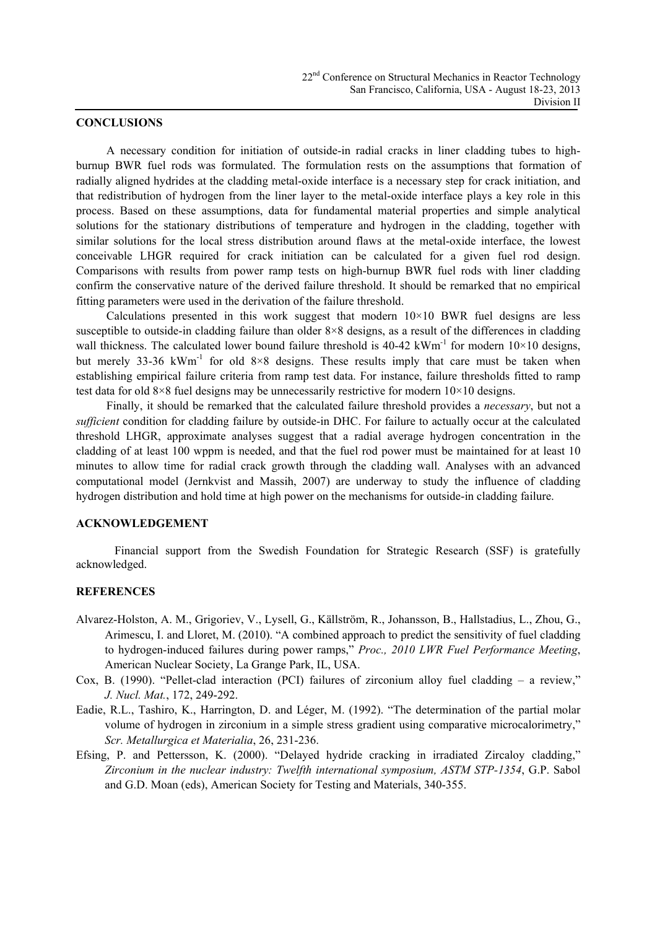## **CONCLUSIONS**

A necessary condition for initiation of outside-in radial cracks in liner cladding tubes to highburnup BWR fuel rods was formulated. The formulation rests on the assumptions that formation of radially aligned hydrides at the cladding metal-oxide interface is a necessary step for crack initiation, and that redistribution of hydrogen from the liner layer to the metal-oxide interface plays a key role in this process. Based on these assumptions, data for fundamental material properties and simple analytical solutions for the stationary distributions of temperature and hydrogen in the cladding, together with similar solutions for the local stress distribution around flaws at the metal-oxide interface, the lowest conceivable LHGR required for crack initiation can be calculated for a given fuel rod design. Comparisons with results from power ramp tests on high-burnup BWR fuel rods with liner cladding confirm the conservative nature of the derived failure threshold. It should be remarked that no empirical fitting parameters were used in the derivation of the failure threshold.

Calculations presented in this work suggest that modern  $10\times10$  BWR fuel designs are less susceptible to outside-in cladding failure than older 8×8 designs, as a result of the differences in cladding wall thickness. The calculated lower bound failure threshold is  $40-42 \text{ kWh}^{-1}$  for modern  $10 \times 10$  designs, but merely 33-36 kWm<sup>-1</sup> for old  $8\times 8$  designs. These results imply that care must be taken when establishing empirical failure criteria from ramp test data. For instance, failure thresholds fitted to ramp test data for old 8×8 fuel designs may be unnecessarily restrictive for modern  $10\times10$  designs.

Finally, it should be remarked that the calculated failure threshold provides a *necessary*, but not a *sufficient* condition for cladding failure by outside-in DHC. For failure to actually occur at the calculated threshold LHGR, approximate analyses suggest that a radial average hydrogen concentration in the cladding of at least 100 wppm is needed, and that the fuel rod power must be maintained for at least 10 minutes to allow time for radial crack growth through the cladding wall. Analyses with an advanced computational model (Jernkvist and Massih, 2007) are underway to study the influence of cladding hydrogen distribution and hold time at high power on the mechanisms for outside-in cladding failure.

## **ACKNOWLEDGEMENT**

Financial support from the Swedish Foundation for Strategic Research (SSF) is gratefully acknowledged.

## **REFERENCES**

- Alvarez-Holston, A. M., Grigoriev, V., Lysell, G., Källström, R., Johansson, B., Hallstadius, L., Zhou, G., Arimescu, I. and Lloret, M. (2010). "A combined approach to predict the sensitivity of fuel cladding to hydrogen-induced failures during power ramps," *Proc., 2010 LWR Fuel Performance Meeting*, American Nuclear Society, La Grange Park, IL, USA.
- Cox, B. (1990). "Pellet-clad interaction (PCI) failures of zirconium alloy fuel cladding a review," *J. Nucl. Mat.*, 172, 249-292.
- Eadie, R.L., Tashiro, K., Harrington, D. and Léger, M. (1992). "The determination of the partial molar volume of hydrogen in zirconium in a simple stress gradient using comparative microcalorimetry," *Scr. Metallurgica et Materialia*, 26, 231-236.
- Efsing, P. and Pettersson, K. (2000). "Delayed hydride cracking in irradiated Zircaloy cladding," *Zirconium in the nuclear industry: Twelfth international symposium, ASTM STP-1354*, G.P. Sabol and G.D. Moan (eds), American Society for Testing and Materials, 340-355.